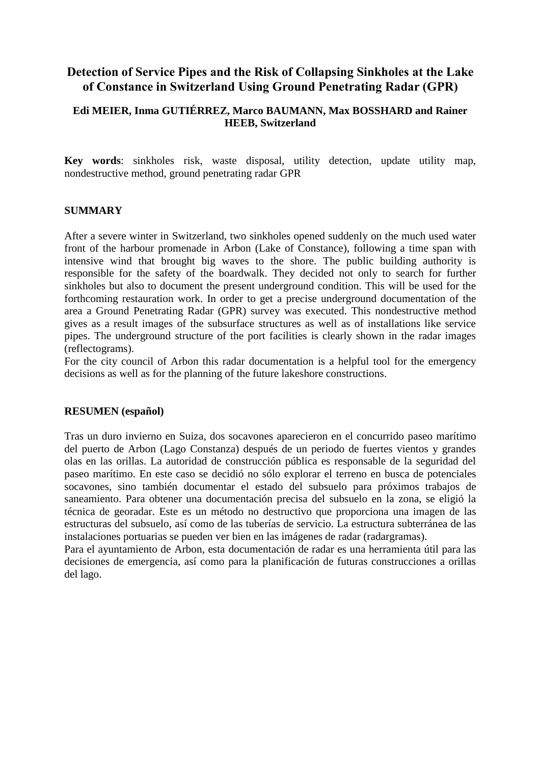# **Detection of Service Pipes and the Risk of Collapsing Sinkholes at the Lake of Constance in Switzerland Using Ground Penetrating Radar (GPR)**

### **Edi MEIER, Inma GUTIÉRREZ, Marco BAUMANN, Max BOSSHARD and Rainer HEEB, Switzerland**

**Key words**: sinkholes risk, waste disposal, utility detection, update utility map, nondestructive method, ground penetrating radar GPR

#### **SUMMARY**

After a severe winter in Switzerland, two sinkholes opened suddenly on the much used water front of the harbour promenade in Arbon (Lake of Constance), following a time span with intensive wind that brought big waves to the shore. The public building authority is responsible for the safety of the boardwalk. They decided not only to search for further sinkholes but also to document the present underground condition. This will be used for the forthcoming restauration work. In order to get a precise underground documentation of the area a Ground Penetrating Radar (GPR) survey was executed. This nondestructive method gives as a result images of the subsurface structures as well as of installations like service pipes. The underground structure of the port facilities is clearly shown in the radar images (reflectograms).

For the city council of Arbon this radar documentation is a helpful tool for the emergency decisions as well as for the planning of the future lakeshore constructions.

#### **RESUMEN (español)**

Tras un duro invierno en Suiza, dos socavones aparecieron en el concurrido paseo marítimo del puerto de Arbon (Lago Constanza) después de un periodo de fuertes vientos y grandes olas en las orillas. La autoridad de construcción pública es responsable de la seguridad del paseo marítimo. En este caso se decidió no sólo explorar el terreno en busca de potenciales socavones, sino también documentar el estado del subsuelo para próximos trabajos de saneamiento. Para obtener una documentación precisa del subsuelo en la zona, se eligió la técnica de georadar. Este es un método no destructivo que proporciona una imagen de las estructuras del subsuelo, así como de las tuberías de servicio. La estructura subterránea de las instalaciones portuarias se pueden ver bien en las imágenes de radar (radargramas).

Para el ayuntamiento de Arbon, esta documentación de radar es una herramienta útil para las decisiones de emergencia, así como para la planificación de futuras construcciones a orillas del lago.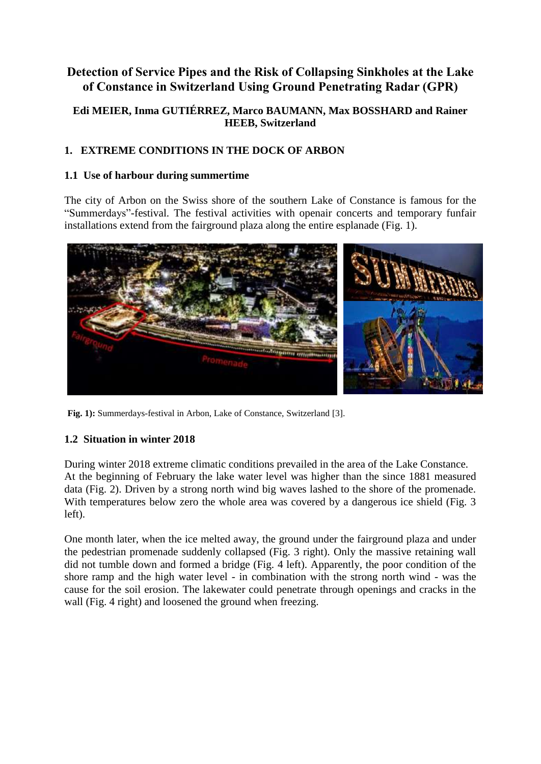# **Detection of Service Pipes and the Risk of Collapsing Sinkholes at the Lake of Constance in Switzerland Using Ground Penetrating Radar (GPR)**

### **Edi MEIER, Inma GUTIÉRREZ, Marco BAUMANN, Max BOSSHARD and Rainer HEEB, Switzerland**

# **1. EXTREME CONDITIONS IN THE DOCK OF ARBON**

### **1.1 Use of harbour during summertime**

The city of Arbon on the Swiss shore of the southern Lake of Constance is famous for the "Summerdays"-festival. The festival activities with openair concerts and temporary funfair installations extend from the fairground plaza along the entire esplanade (Fig. 1).



**Fig. 1):** Summerdays-festival in Arbon, Lake of Constance, Switzerland [3].

## **1.2 Situation in winter 2018**

During winter 2018 extreme climatic conditions prevailed in the area of the Lake Constance. At the beginning of February the lake water level was higher than the since 1881 measured data (Fig. 2). Driven by a strong north wind big waves lashed to the shore of the promenade. With temperatures below zero the whole area was covered by a dangerous ice shield (Fig. 3 left).

One month later, when the ice melted away, the ground under the fairground plaza and under the pedestrian promenade suddenly collapsed (Fig. 3 right). Only the massive retaining wall did not tumble down and formed a bridge (Fig. 4 left). Apparently, the poor condition of the shore ramp and the high water level - in combination with the strong north wind - was the cause for the soil erosion. The lakewater could penetrate through openings and cracks in the wall (Fig. 4 right) and loosened the ground when freezing.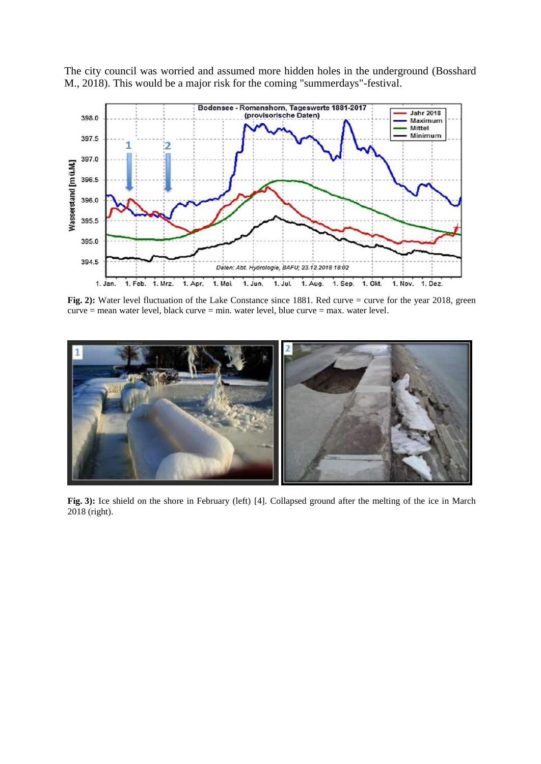

The city council was worried and assumed more hidden holes in the underground (Bosshard M., 2018). This would be a major risk for the coming "summerdays"-festival.

**Fig.** 2): Water level fluctuation of the Lake Constance since 1881. Red curve = curve for the year 2018, green curve = mean water level, black curve = min. water level, blue curve = max. water level.



**Fig. 3):** Ice shield on the shore in February (left) [4]. Collapsed ground after the melting of the ice in March 2018 (right).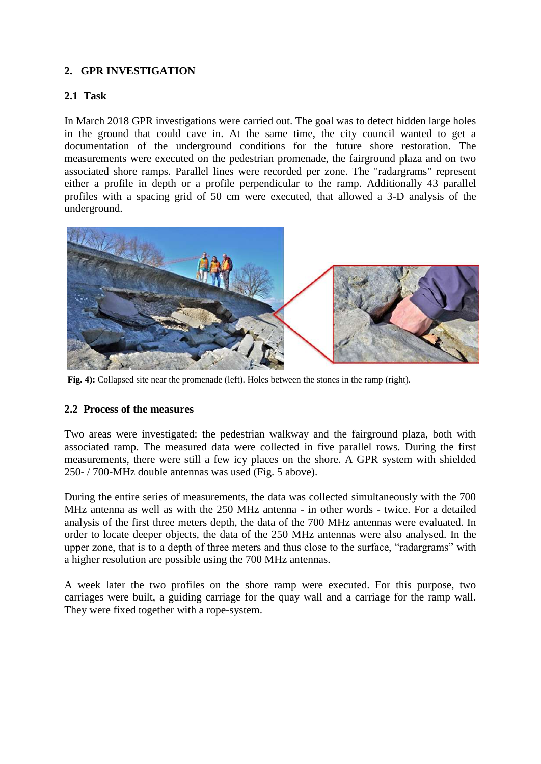### **2. GPR INVESTIGATION**

### **2.1 Task**

In March 2018 GPR investigations were carried out. The goal was to detect hidden large holes in the ground that could cave in. At the same time, the city council wanted to get a documentation of the underground conditions for the future shore restoration. The measurements were executed on the pedestrian promenade, the fairground plaza and on two associated shore ramps. Parallel lines were recorded per zone. The "radargrams" represent either a profile in depth or a profile perpendicular to the ramp. Additionally 43 parallel profiles with a spacing grid of 50 cm were executed, that allowed a 3-D analysis of the underground.



**Fig. 4):** Collapsed site near the promenade (left). Holes between the stones in the ramp (right).

### **2.2 Process of the measures**

Two areas were investigated: the pedestrian walkway and the fairground plaza, both with associated ramp. The measured data were collected in five parallel rows. During the first measurements, there were still a few icy places on the shore. A GPR system with shielded 250- / 700-MHz double antennas was used (Fig. 5 above).

During the entire series of measurements, the data was collected simultaneously with the 700 MHz antenna as well as with the 250 MHz antenna - in other words - twice. For a detailed analysis of the first three meters depth, the data of the 700 MHz antennas were evaluated. In order to locate deeper objects, the data of the 250 MHz antennas were also analysed. In the upper zone, that is to a depth of three meters and thus close to the surface, "radargrams" with a higher resolution are possible using the 700 MHz antennas.

A week later the two profiles on the shore ramp were executed. For this purpose, two carriages were built, a guiding carriage for the quay wall and a carriage for the ramp wall. They were fixed together with a rope-system.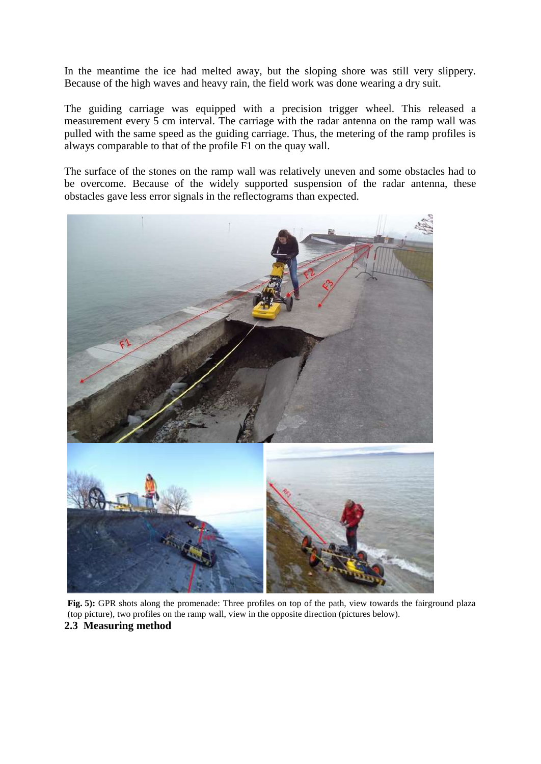In the meantime the ice had melted away, but the sloping shore was still very slippery. Because of the high waves and heavy rain, the field work was done wearing a dry suit.

The guiding carriage was equipped with a precision trigger wheel. This released a measurement every 5 cm interval. The carriage with the radar antenna on the ramp wall was pulled with the same speed as the guiding carriage. Thus, the metering of the ramp profiles is always comparable to that of the profile F1 on the quay wall.

The surface of the stones on the ramp wall was relatively uneven and some obstacles had to be overcome. Because of the widely supported suspension of the radar antenna, these obstacles gave less error signals in the reflectograms than expected.



**Fig. 5):** GPR shots along the promenade: Three profiles on top of the path, view towards the fairground plaza (top picture), two profiles on the ramp wall, view in the opposite direction (pictures below). **2.3 Measuring method**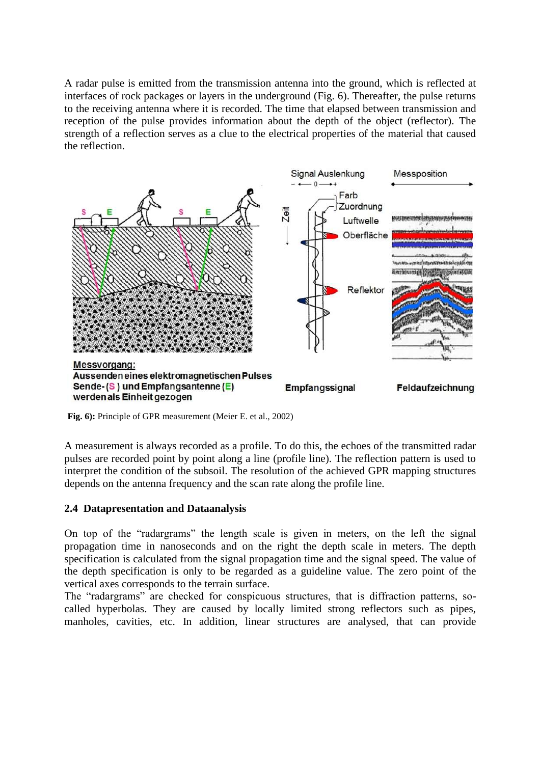A radar pulse is emitted from the transmission antenna into the ground, which is reflected at interfaces of rock packages or layers in the underground (Fig. 6). Thereafter, the pulse returns to the receiving antenna where it is recorded. The time that elapsed between transmission and reception of the pulse provides information about the depth of the object (reflector). The strength of a reflection serves as a clue to the electrical properties of the material that caused the reflection.



**Fig. 6):** Principle of GPR measurement (Meier E. et al., 2002)

A measurement is always recorded as a profile. To do this, the echoes of the transmitted radar pulses are recorded point by point along a line (profile line). The reflection pattern is used to interpret the condition of the subsoil. The resolution of the achieved GPR mapping structures depends on the antenna frequency and the scan rate along the profile line.

### **2.4 Datapresentation and Dataanalysis**

On top of the "radargrams" the length scale is given in meters, on the left the signal propagation time in nanoseconds and on the right the depth scale in meters. The depth specification is calculated from the signal propagation time and the signal speed. The value of the depth specification is only to be regarded as a guideline value. The zero point of the vertical axes corresponds to the terrain surface.

The "radargrams" are checked for conspicuous structures, that is diffraction patterns, socalled hyperbolas. They are caused by locally limited strong reflectors such as pipes, manholes, cavities, etc. In addition, linear structures are analysed, that can provide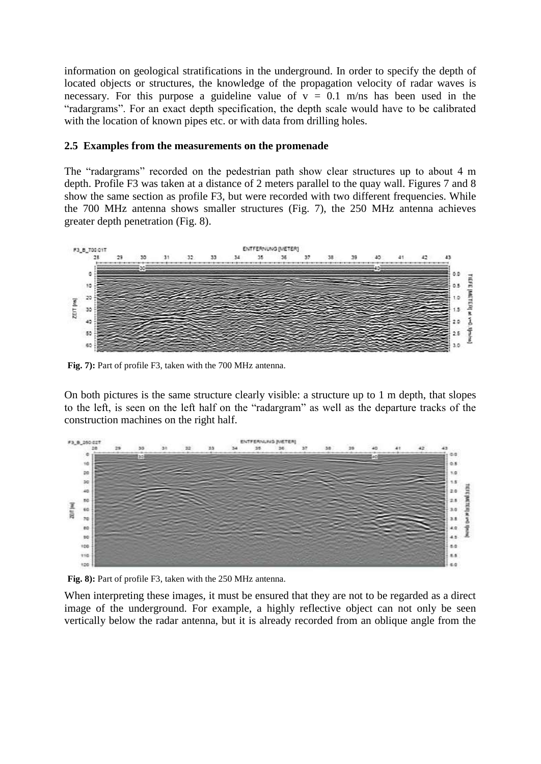information on geological stratifications in the underground. In order to specify the depth of located objects or structures, the knowledge of the propagation velocity of radar waves is necessary. For this purpose a guideline value of  $y = 0.1$  m/ns has been used in the "radargrams". For an exact depth specification, the depth scale would have to be calibrated with the location of known pipes etc. or with data from drilling holes.

### **2.5 Examples from the measurements on the promenade**

The "radargrams" recorded on the pedestrian path show clear structures up to about 4 m depth. Profile F3 was taken at a distance of 2 meters parallel to the quay wall. Figures 7 and 8 show the same section as profile F3, but were recorded with two different frequencies. While the 700 MHz antenna shows smaller structures (Fig. 7), the 250 MHz antenna achieves greater depth penetration (Fig. 8).



**Fig. 7):** Part of profile F3, taken with the 700 MHz antenna.

On both pictures is the same structure clearly visible: a structure up to 1 m depth, that slopes to the left, is seen on the left half on the "radargram" as well as the departure tracks of the construction machines on the right half.



**Fig. 8):** Part of profile F3, taken with the 250 MHz antenna.

When interpreting these images, it must be ensured that they are not to be regarded as a direct image of the underground. For example, a highly reflective object can not only be seen vertically below the radar antenna, but it is already recorded from an oblique angle from the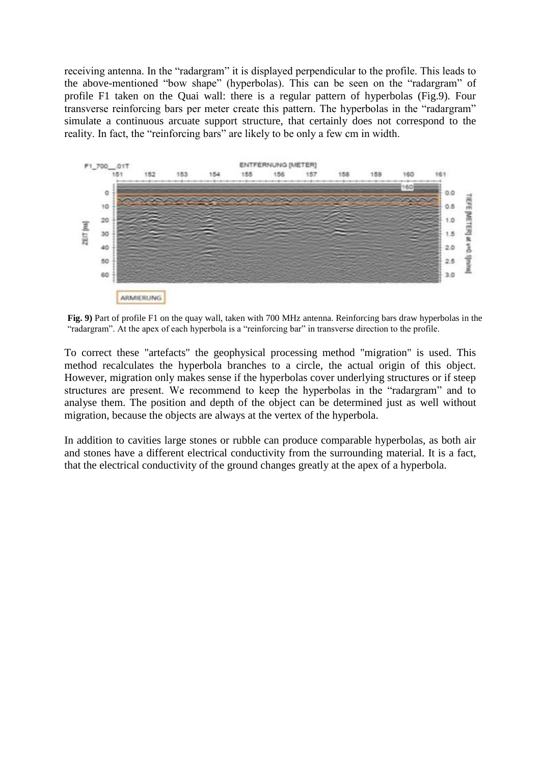receiving antenna. In the "radargram" it is displayed perpendicular to the profile. This leads to the above-mentioned "bow shape" (hyperbolas). This can be seen on the "radargram" of profile F1 taken on the Quai wall: there is a regular pattern of hyperbolas (Fig.9). Four transverse reinforcing bars per meter create this pattern. The hyperbolas in the "radargram" simulate a continuous arcuate support structure, that certainly does not correspond to the reality. In fact, the "reinforcing bars" are likely to be only a few cm in width.



**Fig. 9)** Part of profile F1 on the quay wall, taken with 700 MHz antenna. Reinforcing bars draw hyperbolas in the "radargram". At the apex of each hyperbola is a "reinforcing bar" in transverse direction to the profile.

To correct these "artefacts" the geophysical processing method "migration" is used. This method recalculates the hyperbola branches to a circle, the actual origin of this object. However, migration only makes sense if the hyperbolas cover underlying structures or if steep structures are present. We recommend to keep the hyperbolas in the "radargram" and to analyse them. The position and depth of the object can be determined just as well without migration, because the objects are always at the vertex of the hyperbola.

In addition to cavities large stones or rubble can produce comparable hyperbolas, as both air and stones have a different electrical conductivity from the surrounding material. It is a fact, that the electrical conductivity of the ground changes greatly at the apex of a hyperbola.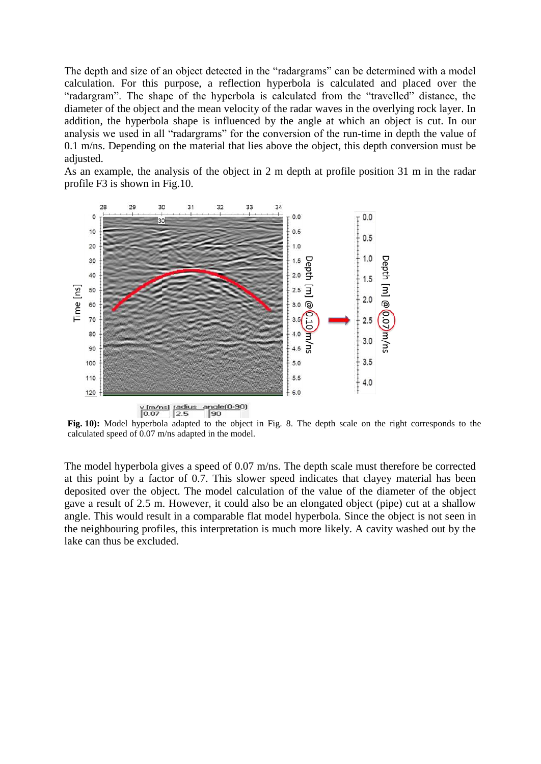The depth and size of an object detected in the "radargrams" can be determined with a model calculation. For this purpose, a reflection hyperbola is calculated and placed over the "radargram". The shape of the hyperbola is calculated from the "travelled" distance, the diameter of the object and the mean velocity of the radar waves in the overlying rock layer. In addition, the hyperbola shape is influenced by the angle at which an object is cut. In our analysis we used in all "radargrams" for the conversion of the run-time in depth the value of 0.1 m/ns. Depending on the material that lies above the object, this depth conversion must be adjusted.

As an example, the analysis of the object in 2 m depth at profile position 31 m in the radar profile F3 is shown in Fig.10.



**Fig. 10):** Model hyperbola adapted to the object in Fig. 8. The depth scale on the right corresponds to the calculated speed of 0.07 m/ns adapted in the model.

The model hyperbola gives a speed of 0.07 m/ns. The depth scale must therefore be corrected at this point by a factor of 0.7. This slower speed indicates that clayey material has been deposited over the object. The model calculation of the value of the diameter of the object gave a result of 2.5 m. However, it could also be an elongated object (pipe) cut at a shallow angle. This would result in a comparable flat model hyperbola. Since the object is not seen in the neighbouring profiles, this interpretation is much more likely. A cavity washed out by the lake can thus be excluded.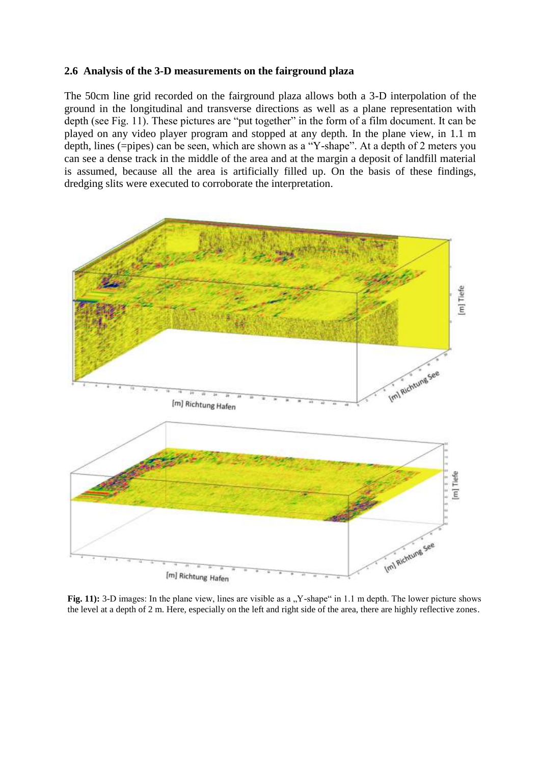#### **2.6 Analysis of the 3-D measurements on the fairground plaza**

The 50cm line grid recorded on the fairground plaza allows both a 3-D interpolation of the ground in the longitudinal and transverse directions as well as a plane representation with depth (see Fig. 11). These pictures are "put together" in the form of a film document. It can be played on any video player program and stopped at any depth. In the plane view, in 1.1 m depth, lines (=pipes) can be seen, which are shown as a "Y-shape". At a depth of 2 meters you can see a dense track in the middle of the area and at the margin a deposit of landfill material is assumed, because all the area is artificially filled up. On the basis of these findings, dredging slits were executed to corroborate the interpretation.



Fig. 11): 3-D images: In the plane view, lines are visible as a "Y-shape" in 1.1 m depth. The lower picture shows the level at a depth of 2 m. Here, especially on the left and right side of the area, there are highly reflective zones.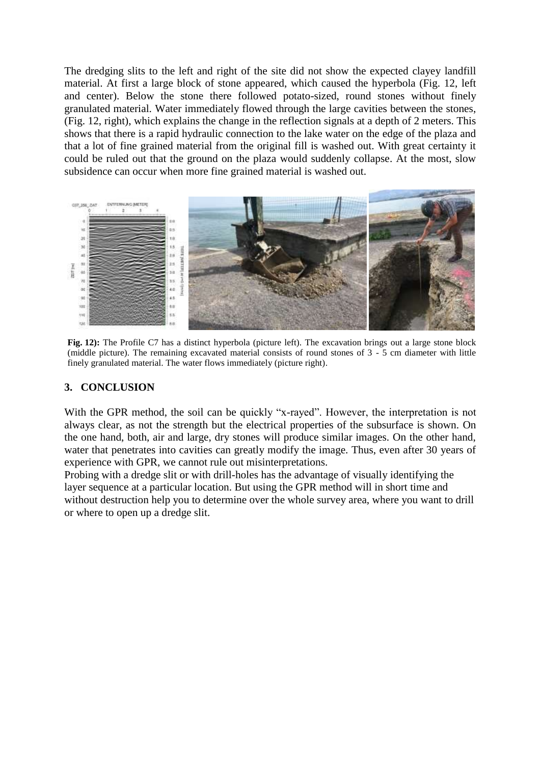The dredging slits to the left and right of the site did not show the expected clayey landfill material. At first a large block of stone appeared, which caused the hyperbola (Fig. 12, left and center). Below the stone there followed potato-sized, round stones without finely granulated material. Water immediately flowed through the large cavities between the stones, (Fig. 12, right), which explains the change in the reflection signals at a depth of 2 meters. This shows that there is a rapid hydraulic connection to the lake water on the edge of the plaza and that a lot of fine grained material from the original fill is washed out. With great certainty it could be ruled out that the ground on the plaza would suddenly collapse. At the most, slow subsidence can occur when more fine grained material is washed out.



**Fig. 12):** The Profile C7 has a distinct hyperbola (picture left). The excavation brings out a large stone block (middle picture). The remaining excavated material consists of round stones of 3 - 5 cm diameter with little finely granulated material. The water flows immediately (picture right).

### **3. CONCLUSION**

With the GPR method, the soil can be quickly "x-rayed". However, the interpretation is not always clear, as not the strength but the electrical properties of the subsurface is shown. On the one hand, both, air and large, dry stones will produce similar images. On the other hand, water that penetrates into cavities can greatly modify the image. Thus, even after 30 years of experience with GPR, we cannot rule out misinterpretations.

Probing with a dredge slit or with drill-holes has the advantage of visually identifying the layer sequence at a particular location. But using the GPR method will in short time and without destruction help you to determine over the whole survey area, where you want to drill or where to open up a dredge slit.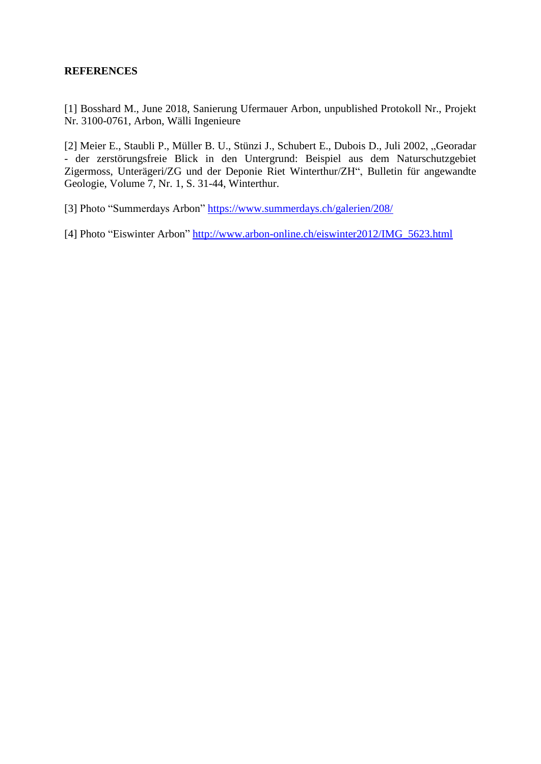### **REFERENCES**

[1] Bosshard M., June 2018, Sanierung Ufermauer Arbon, unpublished Protokoll Nr., Projekt Nr. 3100-0761, Arbon, Wälli Ingenieure

[2] Meier E., Staubli P., Müller B. U., Stünzi J., Schubert E., Dubois D., Juli 2002, "Georadar - der zerstörungsfreie Blick in den Untergrund: Beispiel aus dem Naturschutzgebiet Zigermoss, Unterägeri/ZG und der Deponie Riet Winterthur/ZH", Bulletin für angewandte Geologie, Volume 7, Nr. 1, S. 31-44, Winterthur.

[3] Photo "Summerdays Arbon"<https://www.summerdays.ch/galerien/208/>

[4] Photo "Eiswinter Arbon" [http://www.arbon-online.ch/eiswinter2012/IMG\\_5623.html](http://www.arbon-online.ch/eiswinter2012/IMG_5623.html)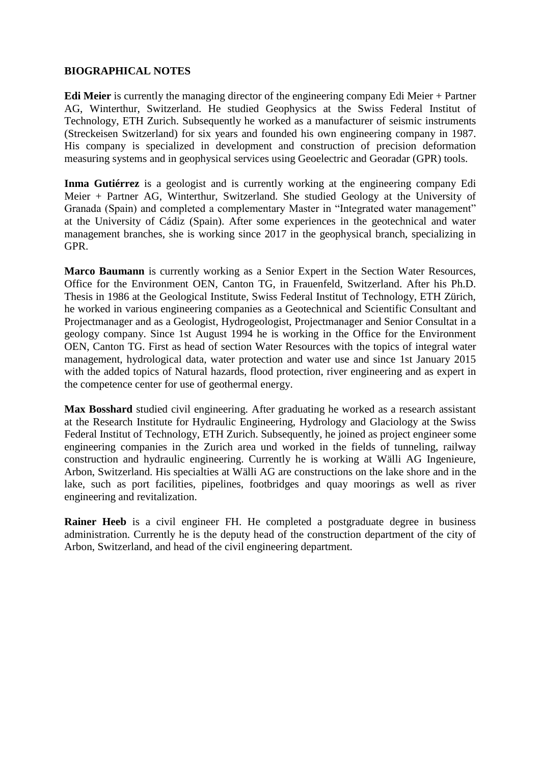### **BIOGRAPHICAL NOTES**

**Edi Meier** is currently the managing director of the engineering company Edi Meier + Partner AG, Winterthur, Switzerland. He studied Geophysics at the Swiss Federal Institut of Technology, ETH Zurich. Subsequently he worked as a manufacturer of seismic instruments (Streckeisen Switzerland) for six years and founded his own engineering company in 1987. His company is specialized in development and construction of precision deformation measuring systems and in geophysical services using Geoelectric and Georadar (GPR) tools.

Inma Gutiérrez is a geologist and is currently working at the engineering company Edi Meier + Partner AG, Winterthur, Switzerland. She studied Geology at the University of Granada (Spain) and completed a complementary Master in "Integrated water management" at the University of Cádiz (Spain). After some experiences in the geotechnical and water management branches, she is working since 2017 in the geophysical branch, specializing in GPR.

**Marco Baumann** is currently working as a Senior Expert in the Section Water Resources, Office for the Environment OEN, Canton TG, in Frauenfeld, Switzerland. After his Ph.D. Thesis in 1986 at the Geological Institute, Swiss Federal Institut of Technology, ETH Zürich, he worked in various engineering companies as a Geotechnical and Scientific Consultant and Projectmanager and as a Geologist, Hydrogeologist, Projectmanager and Senior Consultat in a geology company. Since 1st August 1994 he is working in the Office for the Environment OEN, Canton TG. First as head of section Water Resources with the topics of integral water management, hydrological data, water protection and water use and since 1st January 2015 with the added topics of Natural hazards, flood protection, river engineering and as expert in the competence center for use of geothermal energy.

**Max Bosshard** studied civil engineering. After graduating he worked as a research assistant at the Research Institute for Hydraulic Engineering, Hydrology and Glaciology at the Swiss Federal Institut of Technology, ETH Zurich. Subsequently, he joined as project engineer some engineering companies in the Zurich area und worked in the fields of tunneling, railway construction and hydraulic engineering. Currently he is working at Wälli AG Ingenieure, Arbon, Switzerland. His specialties at Wälli AG are constructions on the lake shore and in the lake, such as port facilities, pipelines, footbridges and quay moorings as well as river engineering and revitalization.

**Rainer Heeb** is a civil engineer FH. He completed a postgraduate degree in business administration. Currently he is the deputy head of the construction department of the city of Arbon, Switzerland, and head of the civil engineering department.